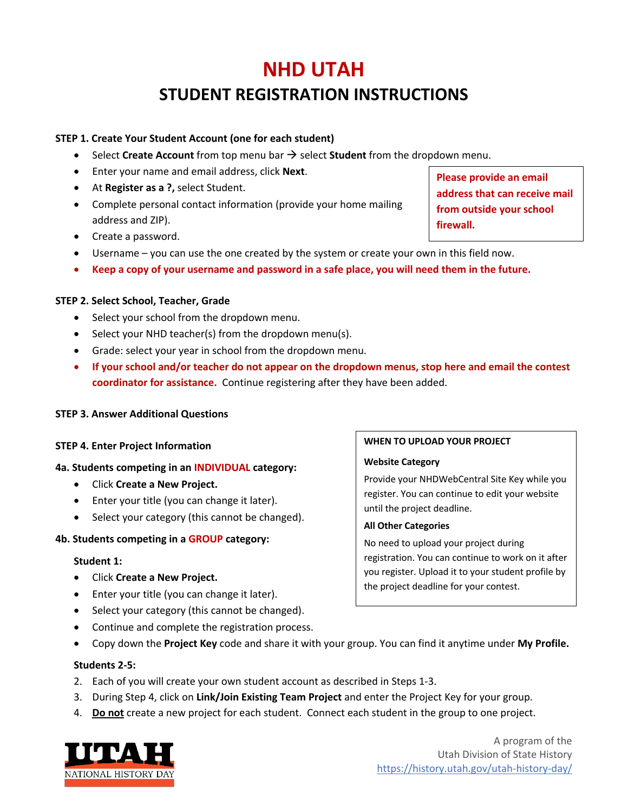# **NHD UTAH**

## **STUDENT REGISTRATION INSTRUCTIONS**

## **STEP 1. Create Your Student Account (one for each student)**

- $\bullet$  Select **Create Account** from top menu bar  $\rightarrow$  select **Student** from the dropdown menu.
- Enter your name and email address, click **Next**.
- At **Register as a ?,** select Student.
- Complete personal contact information (provide your home mailing address and ZIP).
- Create a password.
- Username you can use the one created by the system or create your own in this field now.
- **Keep a copy of your username and password in a safe place, you will need them in the future.**

## **STEP 2. Select School, Teacher, Grade**

- Select your school from the dropdown menu.
- Select your NHD teacher(s) from the dropdown menu(s).
- Grade: select your year in school from the dropdown menu.
- **If your school and/or teacher do not appear on the dropdown menus, stop here and email the contest coordinator for assistance.** Continue registering after they have been added.

## **STEP 3. Answer Additional Questions**

## **STEP 4. Enter Project Information**

#### **4a. Students competing in an INDIVIDUAL category:**

- Click **Create a New Project.**
- Enter your title (you can change it later).
- Select your category (this cannot be changed).

## **4b. Students competing in a GROUP category:**

#### **Student 1:**

- Click **Create a New Project.**
- Enter your title (you can change it later).
- Select your category (this cannot be changed).
- Continue and complete the registration process.
- Copy down the **Project Key** code and share it with your group. You can find it anytime under **My Profile.**

#### **Students 2-5:**

- 2. Each of you will create your own student account as described in Steps 1-3.
- 3. During Step 4, click on **Link/Join Existing Team Project** and enter the Project Key for your group.
- 4. **Do not** create a new project for each student. Connect each student in the group to one project.



**Please provide an email address that can receive mail from outside your school firewall.**

#### **WHEN TO UPLOAD YOUR PROJECT**

#### **Website Category**

Provide your NHDWebCentral Site Key while you register. You can continue to edit your website until the project deadline.

#### **All Other Categories**

No need to upload your project during registration. You can continue to work on it after you register. Upload it to your student profile by the project deadline for your contest.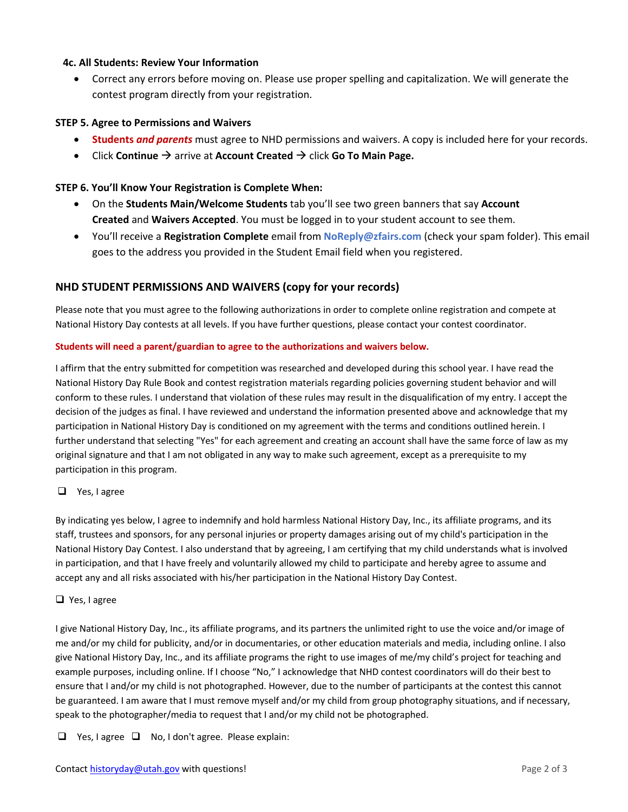#### **4c. All Students: Review Your Information**

• Correct any errors before moving on. Please use proper spelling and capitalization. We will generate the contest program directly from your registration.

#### **STEP 5. Agree to Permissions and Waivers**

- **Students** *and parents* must agree to NHD permissions and waivers. A copy is included here for your records.
- Click **Continue**  $\rightarrow$  arrive at **Account Created**  $\rightarrow$  click **Go To Main Page.**

#### **STEP 6. You'll Know Your Registration is Complete When:**

- On the **Students Main/Welcome Students** tab you'll see two green banners that say **Account Created** and **Waivers Accepted**. You must be logged in to your student account to see them.
- You'll receive a **Registration Complete** email from **NoReply@zfairs.com** (check your spam folder). This email goes to the address you provided in the Student Email field when you registered.

### **NHD STUDENT PERMISSIONS AND WAIVERS (copy for your records)**

Please note that you must agree to the following authorizations in order to complete online registration and compete at National History Day contests at all levels. If you have further questions, please contact your contest coordinator.

#### **Students will need a parent/guardian to agree to the authorizations and waivers below.**

I affirm that the entry submitted for competition was researched and developed during this school year. I have read the National History Day Rule Book and contest registration materials regarding policies governing student behavior and will conform to these rules. I understand that violation of these rules may result in the disqualification of my entry. I accept the decision of the judges as final. I have reviewed and understand the information presented above and acknowledge that my participation in National History Day is conditioned on my agreement with the terms and conditions outlined herein. I further understand that selecting "Yes" for each agreement and creating an account shall have the same force of law as my original signature and that I am not obligated in any way to make such agreement, except as a prerequisite to my participation in this program.

#### $\Box$  Yes, I agree

By indicating yes below, I agree to indemnify and hold harmless National History Day, Inc., its affiliate programs, and its staff, trustees and sponsors, for any personal injuries or property damages arising out of my child's participation in the National History Day Contest. I also understand that by agreeing, I am certifying that my child understands what is involved in participation, and that I have freely and voluntarily allowed my child to participate and hereby agree to assume and accept any and all risks associated with his/her participation in the National History Day Contest.

#### $\Box$  Yes, I agree

I give National History Day, Inc., its affiliate programs, and its partners the unlimited right to use the voice and/or image of me and/or my child for publicity, and/or in documentaries, or other education materials and media, including online. I also give National History Day, Inc., and its affiliate programs the right to use images of me/my child's project for teaching and example purposes, including online. If I choose "No," I acknowledge that NHD contest coordinators will do their best to ensure that I and/or my child is not photographed. However, due to the number of participants at the contest this cannot be guaranteed. I am aware that I must remove myself and/or my child from group photography situations, and if necessary, speak to the photographer/media to request that I and/or my child not be photographed.

 $\Box$  Yes, I agree  $\Box$  No, I don't agree. Please explain: